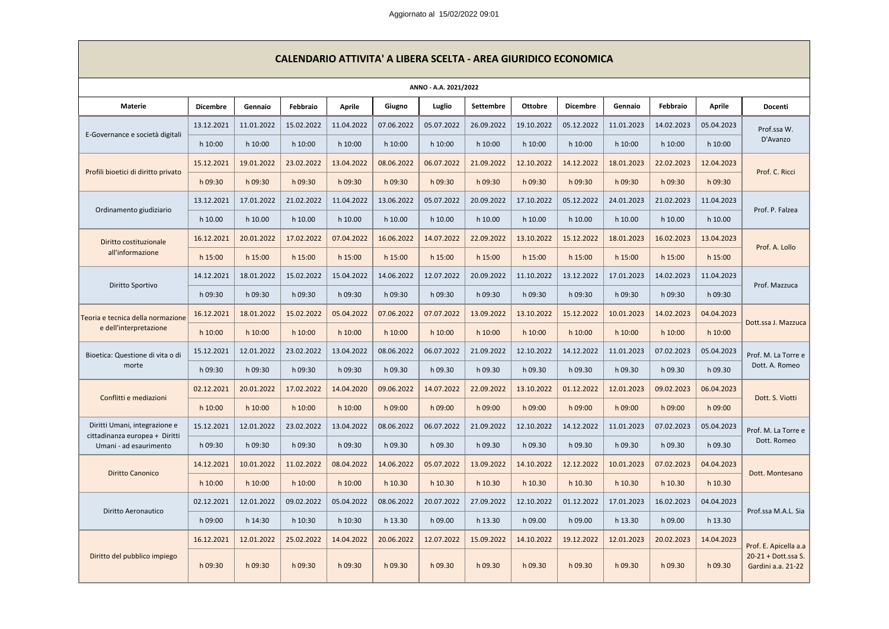Aggiornato al 15/02/2022 09:01

| CALENDARIO ATTIVITA' A LIBERA SCELTA - AREA GIURIDICO ECONOMICA |                 |            |            |               |            |            |            |                |                 |            |            |               |                                           |
|-----------------------------------------------------------------|-----------------|------------|------------|---------------|------------|------------|------------|----------------|-----------------|------------|------------|---------------|-------------------------------------------|
| ANNO - A.A. 2021/2022                                           |                 |            |            |               |            |            |            |                |                 |            |            |               |                                           |
| <b>Materie</b>                                                  | <b>Dicembre</b> | Gennaio    | Febbraio   | <b>Aprile</b> | Giugno     | Luglio     | Settembre  | <b>Ottobre</b> | <b>Dicembre</b> | Gennaio    | Febbraio   | <b>Aprile</b> | Docenti                                   |
| E-Governance e società digitali                                 | 13.12.2021      | 11.01.2022 | 15.02.2022 | 11.04.2022    | 07.06.2022 | 05.07.2022 | 26.09.2022 | 19.10.2022     | 05.12.2022      | 11.01.2023 | 14.02.2023 | 05.04.2023    | Prof.ssa W.<br>D'Avanzo                   |
|                                                                 | h 10:00         | h 10:00    | h 10:00    | h 10:00       | h 10:00    | h 10:00    | h 10:00    | h 10:00        | h 10:00         | h 10:00    | h 10:00    | h 10:00       |                                           |
| Profili bioetici di diritto privato                             | 15.12.2021      | 19.01.2022 | 23.02.2022 | 13.04.2022    | 08.06.2022 | 06.07.2022 | 21.09.2022 | 12.10.2022     | 14.12.2022      | 18.01.2023 | 22.02.2023 | 12.04.2023    | Prof. C. Ricci                            |
|                                                                 | h 09:30         | h 09:30    | h 09:30    | h 09:30       | h 09:30    | h 09:30    | h 09:30    | h 09:30        | h 09:30         | h 09:30    | h 09:30    | h 09:30       |                                           |
|                                                                 | 13.12.2021      | 17.01.2022 | 21.02.2022 | 11.04.2022    | 13.06.2022 | 05.07.2022 | 20.09.2022 | 17.10.2022     | 05.12.2022      | 24.01.2023 | 21.02.2023 | 11.04.2023    | Prof. P. Falzea                           |
| Ordinamento giudiziario                                         | h 10.00         | h 10.00    | h 10.00    | h 10.00       | h 10.00    | h 10.00    | h 10.00    | h 10.00        | h 10.00         | h 10.00    | h 10.00    | h 10.00       |                                           |
| Diritto costituzionale                                          | 16.12.2021      | 20.01.2022 | 17.02.2022 | 07.04.2022    | 16.06.2022 | 14.07.2022 | 22.09.2022 | 13.10.2022     | 15.12.2022      | 18.01.2023 | 16.02.2023 | 13.04.2023    | Prof. A. Lollo                            |
| all'informazione                                                | h 15:00         | $h$ 15:00  | $h$ 15:00  | h 15:00       | $h$ 15:00  | h 15:00    | $h$ 15:00  | h 15:00        | $h$ 15:00       | h 15:00    | h 15:00    | h 15:00       |                                           |
| Diritto Sportivo                                                | 14.12.2021      | 18.01.2022 | 15.02.2022 | 15.04.2022    | 14.06.2022 | 12.07.2022 | 20.09.2022 | 11.10.2022     | 13.12.2022      | 17.01.2023 | 14.02.2023 | 11.04.2023    | Prof. Mazzuca                             |
|                                                                 | h 09:30         | h 09:30    | h 09:30    | h 09:30       | h 09:30    | h 09:30    | h 09:30    | h 09:30        | h 09:30         | h 09:30    | h 09:30    | h 09:30       |                                           |
| Teoria e tecnica della normazione                               | 16.12.2021      | 18.01.2022 | 15.02.2022 | 05.04.2022    | 07.06.2022 | 07.07.2022 | 13.09.2022 | 13.10.2022     | 15.12.2022      | 10.01.2023 | 14.02.2023 | 04.04.2023    | Dott.ssa J. Mazzuca                       |
| e dell'interpretazione                                          | h 10:00         | h 10:00    | h 10:00    | h 10:00       | h 10:00    | h 10:00    | $h$ 10:00  | h 10:00        | h 10:00         | h 10:00    | h 10:00    | h 10:00       |                                           |
| Bioetica: Questione di vita o di                                | 15.12.2021      | 12.01.2022 | 23.02.2022 | 13.04.2022    | 08.06.2022 | 06.07.2022 | 21.09.2022 | 12.10.2022     | 14.12.2022      | 11.01.2023 | 07.02.2023 | 05.04.2023    | Prof. M. La Torre e<br>Dott. A. Romeo     |
| morte                                                           | h 09:30         | h 09:30    | h 09:30    | h 09:30       | h 09.30    | h 09.30    | h 09.30    | h 09.30        | h 09.30         | h 09.30    | h 09.30    | h 09.30       |                                           |
| Conflitti e mediazioni                                          | 02.12.2021      | 20.01.2022 | 17.02.2022 | 14.04.2020    | 09.06.2022 | 14.07.2022 | 22.09.2022 | 13.10.2022     | 01.12.2022      | 12.01.2023 | 09.02.2023 | 06.04.2023    | Dott. S. Viotti                           |
|                                                                 | h 10:00         | h 10:00    | $h$ 10:00  | h 10:00       | h 09:00    | h 09:00    | h 09:00    | h 09:00        | h 09:00         | h 09:00    | h 09:00    | h 09:00       |                                           |
| Diritti Umani, integrazione e                                   | 15.12.2021      | 12.01.2022 | 23.02.2022 | 13.04.2022    | 08.06.2022 | 06.07.2022 | 21.09.2022 | 12.10.2022     | 14.12.2022      | 11.01.2023 | 07.02.2023 | 05.04.2023    | Prof. M. La Torre e<br>Dott. Romeo        |
| cittadinanza europea + Diritti<br>Umani - ad esaurimento        | h 09:30         | h 09:30    | h 09:30    | h 09:30       | h 09.30    | h 09.30    | h 09.30    | h 09.30        | h 09.30         | h 09.30    | h 09.30    | h 09.30       |                                           |
|                                                                 | 14.12.2021      | 10.01.2022 | 11.02.2022 | 08.04.2022    | 14.06.2022 | 05.07.2022 | 13.09.2022 | 14.10.2022     | 12.12.2022      | 10.01.2023 | 07.02.2023 | 04.04.2023    | Dott. Montesano                           |
| <b>Diritto Canonico</b>                                         | h 10:00         | $h$ 10:00  | h 10:00    | $h$ 10:00     | h 10.30    | h 10.30    | h 10.30    | h 10.30        | h 10.30         | h 10.30    | h 10.30    | h 10.30       |                                           |
| Diritto Aeronautico                                             | 02.12.2021      | 12.01.2022 | 09.02.2022 | 05.04.2022    | 08.06.2022 | 20.07.2022 | 27.09.2022 | 12.10.2022     | 01.12.2022      | 17.01.2023 | 16.02.2023 | 04.04.2023    | Prof.ssa M.A.L. Sia                       |
|                                                                 | h 09:00         | h 14:30    | h 10:30    | h 10:30       | h 13.30    | h 09.00    | h 13.30    | h 09.00        | h 09.00         | h 13.30    | h 09.00    | h 13.30       |                                           |
|                                                                 | 16.12.2021      | 12.01.2022 | 25.02.2022 | 14.04.2022    | 20.06.2022 | 12.07.2022 | 15.09.2022 | 14.10.2022     | 19.12.2022      | 12.01.2023 | 20.02.2023 | 14.04.2023    | Prof. E. Apicella a.a                     |
| Diritto del pubblico impiego                                    | h 09:30         | h 09:30    | h 09:30    | h 09:30       | h 09.30    | h 09.30    | h 09.30    | h 09.30        | h 09.30         | h 09.30    | h 09.30    | h 09.30       | 20-21 + Dott.ssa S.<br>Gardini a.a. 21-22 |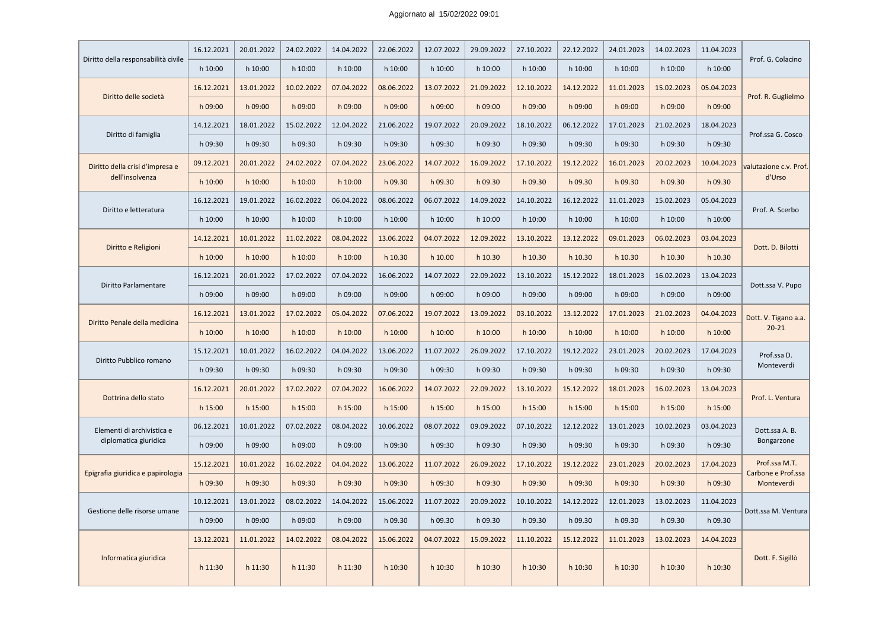| Diritto della responsabilità civile                | 16.12.2021 | 20.01.2022 | 24.02.2022 | 14.04.2022 | 22.06.2022 | 12.07.2022 | 29.09.2022 | 27.10.2022 | 22.12.2022 | 24.01.2023 | 14.02.2023 | 11.04.2023 | Prof. G. Colacino                 |
|----------------------------------------------------|------------|------------|------------|------------|------------|------------|------------|------------|------------|------------|------------|------------|-----------------------------------|
|                                                    | h 10:00    | h 10:00    | h 10:00    | h 10:00    | h 10:00    | h 10:00    | h 10:00    | h 10:00    | h 10:00    | h 10:00    | h 10:00    | h 10:00    |                                   |
| Diritto delle società                              | 16.12.2021 | 13.01.2022 | 10.02.2022 | 07.04.2022 | 08.06.2022 | 13.07.2022 | 21.09.2022 | 12.10.2022 | 14.12.2022 | 11.01.2023 | 15.02.2023 | 05.04.2023 | Prof. R. Guglielmo                |
|                                                    | h 09:00    | h 09:00    | h 09:00    | h 09:00    | h 09:00    | h 09:00    | h 09:00    | h 09:00    | h 09:00    | h 09:00    | h 09:00    | h 09:00    |                                   |
| Diritto di famiglia                                | 14.12.2021 | 18.01.2022 | 15.02.2022 | 12.04.2022 | 21.06.2022 | 19.07.2022 | 20.09.2022 | 18.10.2022 | 06.12.2022 | 17.01.2023 | 21.02.2023 | 18.04.2023 | Prof.ssa G. Cosco                 |
|                                                    | h 09:30    | h 09:30    | h 09:30    | h 09:30    | h 09:30    | h 09:30    | h 09:30    | h 09:30    | h 09:30    | h 09:30    | h 09:30    | h 09:30    |                                   |
| Diritto della crisi d'impresa e<br>dell'insolvenza | 09.12.2021 | 20.01.2022 | 24.02.2022 | 07.04.2022 | 23.06.2022 | 14.07.2022 | 16.09.2022 | 17.10.2022 | 19.12.2022 | 16.01.2023 | 20.02.2023 | 10.04.2023 | valutazione c.v. Prof.            |
|                                                    | $h$ 10:00  | h 10:00    | h 10:00    | h 10:00    | h 09.30    | h 09.30    | h 09.30    | h 09.30    | h 09.30    | h 09.30    | h 09.30    | h 09.30    | d'Urso                            |
|                                                    | 16.12.2021 | 19.01.2022 | 16.02.2022 | 06.04.2022 | 08.06.2022 | 06.07.2022 | 14.09.2022 | 14.10.2022 | 16.12.2022 | 11.01.2023 | 15.02.2023 | 05.04.2023 |                                   |
| Diritto e letteratura                              | h 10:00    | h 10:00    | h 10:00    | h 10:00    | h 10:00    | h 10:00    | h 10:00    | h 10:00    | h 10:00    | h 10:00    | h 10:00    | h 10:00    | Prof. A. Scerbo                   |
|                                                    | 14.12.2021 | 10.01.2022 | 11.02.2022 | 08.04.2022 | 13.06.2022 | 04.07.2022 | 12.09.2022 | 13.10.2022 | 13.12.2022 | 09.01.2023 | 06.02.2023 | 03.04.2023 | Dott. D. Bilotti                  |
| Diritto e Religioni                                | $h$ 10:00  | h 10:00    | $h$ 10:00  | h 10:00    | h 10.30    | h 10.00    | h 10.30    | h 10.30    | h 10.30    | h 10.30    | h 10.30    | h 10.30    |                                   |
| Diritto Parlamentare                               | 16.12.2021 | 20.01.2022 | 17.02.2022 | 07.04.2022 | 16.06.2022 | 14.07.2022 | 22.09.2022 | 13.10.2022 | 15.12.2022 | 18.01.2023 | 16.02.2023 | 13.04.2023 | Dott.ssa V. Pupo                  |
|                                                    | h 09:00    | h 09:00    | h 09:00    | h 09:00    | h 09:00    | h 09:00    | h 09:00    | h 09:00    | h 09:00    | h 09:00    | h 09:00    | h 09:00    |                                   |
| Diritto Penale della medicina                      | 16.12.2021 | 13.01.2022 | 17.02.2022 | 05.04.2022 | 07.06.2022 | 19.07.2022 | 13.09.2022 | 03.10.2022 | 13.12.2022 | 17.01.2023 | 21.02.2023 | 04.04.2023 | Dott. V. Tigano a.a.<br>$20 - 21$ |
|                                                    | $h$ 10:00  | h 10:00    | $h$ 10:00  | h 10:00    | h 10:00    | h 10:00    | h 10:00    | h 10:00    | h 10:00    | $h$ 10:00  | h 10:00    | h 10:00    |                                   |
|                                                    | 15.12.2021 | 10.01.2022 | 16.02.2022 | 04.04.2022 | 13.06.2022 | 11.07.2022 | 26.09.2022 | 17.10.2022 | 19.12.2022 | 23.01.2023 | 20.02.2023 | 17.04.2023 | Prof.ssa D.<br>Monteverdi         |
| Diritto Pubblico romano                            | h 09:30    | h 09:30    | h 09:30    | h 09:30    | h 09:30    | h 09:30    | h 09:30    | h 09:30    | h 09:30    | h 09:30    | h 09:30    | h 09:30    |                                   |
|                                                    | 16.12.2021 | 20.01.2022 | 17.02.2022 | 07.04.2022 | 16.06.2022 | 14.07.2022 | 22.09.2022 | 13.10.2022 | 15.12.2022 | 18.01.2023 | 16.02.2023 | 13.04.2023 | Prof. L. Ventura                  |
| Dottrina dello stato                               | $h$ 15:00  | $h$ 15:00  | $h$ 15:00  | h 15:00    | $h$ 15:00  | h 15:00    | h 15:00    | h 15:00    | h 15:00    | $h$ 15:00  | h 15:00    | h 15:00    |                                   |
| Elementi di archivistica e                         | 06.12.2021 | 10.01.2022 | 07.02.2022 | 08.04.2022 | 10.06.2022 | 08.07.2022 | 09.09.2022 | 07.10.2022 | 12.12.2022 | 13.01.2023 | 10.02.2023 | 03.04.2023 | Dott.ssa A. B.<br>Bongarzone      |
| diplomatica giuridica                              | h 09:00    | h 09:00    | h 09:00    | h 09:00    | h 09:30    | h 09:30    | h 09:30    | h 09:30    | h 09:30    | h 09:30    | h 09:30    | h 09:30    |                                   |
|                                                    | 15.12.2021 | 10.01.2022 | 16.02.2022 | 04.04.2022 | 13.06.2022 | 11.07.2022 | 26.09.2022 | 17.10.2022 | 19.12.2022 | 23.01.2023 | 20.02.2023 | 17.04.2023 | Prof.ssa M.T.                     |
| Epigrafia giuridica e papirologia                  | h 09:30    | h 09:30    | h 09:30    | h 09:30    | h 09:30    | h 09:30    | h 09:30    | h 09:30    | h 09:30    | h 09:30    | h 09:30    | h 09:30    | Carbone e Prof.ssa<br>Monteverdi  |
|                                                    | 10.12.2021 | 13.01.2022 | 08.02.2022 | 14.04.2022 | 15.06.2022 | 11.07.2022 | 20.09.2022 | 10.10.2022 | 14.12.2022 | 12.01.2023 | 13.02.2023 | 11.04.2023 |                                   |
| Gestione delle risorse umane                       | h 09:00    | h 09:00    | h 09:00    | h 09:00    | h 09.30    | h 09.30    | h 09.30    | h 09.30    | h 09.30    | h 09.30    | h 09.30    | h 09.30    | Dott.ssa M. Ventura               |
|                                                    | 13.12.2021 | 11.01.2022 | 14.02.2022 | 08.04.2022 | 15.06.2022 | 04.07.2022 | 15.09.2022 | 11.10.2022 | 15.12.2022 | 11.01.2023 | 13.02.2023 | 14.04.2023 |                                   |
| Informatica giuridica                              | h 11:30    | h 11:30    | h 11:30    | h 11:30    | h 10:30    | h 10:30    | h 10:30    | h 10:30    | h 10:30    | h 10:30    | h 10:30    | h 10:30    | Dott. F. Sigillò                  |